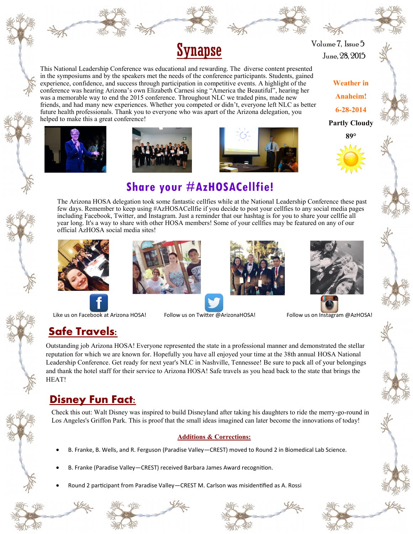

This National Leadership Conference was educational and rewarding. The diverse content presented in the symposiums and by the speakers met the needs of the conference participants. Students, gained experience, confidence, and success through participation in competitive events. A highlight of the conference was hearing Arizona's own Elizabeth Carnesi sing "America the Beautiful", hearing her was a memorable way to end the 2015 conference. Throughout NLC we traded pins, made new friends, and had many new experiences. Whether you competed or didn't, everyone left NLC as better future health professionals. Thank you to everyone who was apart of the Arizona delegation, you

 $Synapse$  June, 28, 2015 Volume 7, Issue 5

> **Weather in Anaheim! 6-28-2014 Partly Cloudy**















### **Additions & Corrections:**

- B. Franke, B. Wells, and R. Ferguson (Paradise Valley—CREST) moved to Round 2 in Biomedical Lab Science.
- B. Franke (Paradise Valley—CREST) received Barbara James Award recognition.
- Round 2 participant from Paradise Valley—CREST M. Carlson was misidentified as A. Rossi









**Share your #AzHOSACellfie!**

The Arizona HOSA delegation took some fantastic cellfies while at the National Leadership Conference these past few days. Remember to keep using #AzHOSACellfie if you decide to post your cellfies to any social media pages including Facebook, Twitter, and Instagram. Just a reminder that our hashtag is for you to share your cellfie all



Like us on Facebook at Arizona HOSA! Follow us on Twitter @ArizonaHOSA! Follow us on Instagram @AzHOSA!

helped to make this a great conference!

# **Safe Travels:**

Outstanding job Arizona HOSA! Everyone represented the state in a professional manner and demonstrated the stellar reputation for which we are known for. Hopefully you have all enjoyed your time at the 38th annual HOSA National Leadership Conference. Get ready for next year's NLC in Nashville, Tennessee! Be sure to pack all of your belongings and thank the hotel staff for their service to Arizona HOSA! Safe travels as you head back to the state that brings the HEAT!

# **Disney Fun Fact:**

Check this out: Walt Disney was inspired to build Disneyland after taking his daughters to ride the merry-go-round in Los Angeles's Griffon Park. This is proof that the small ideas imagined can later become the innovations of today!

official AzHOSA social media sites!